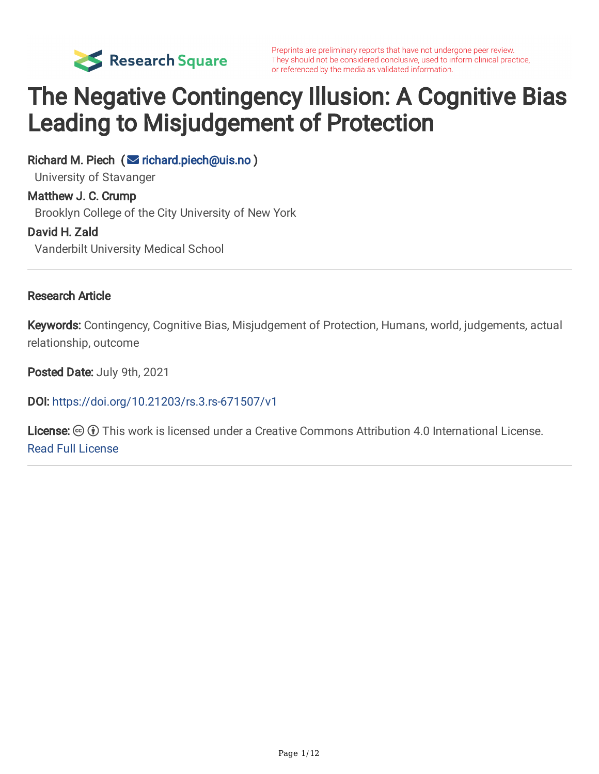

# The Negative Contingency Illusion: A Cognitive Bias Leading to Misjudgement of Protection

Richard M. Piech ( $\leq$  [richard.piech@uis.no](mailto:richard.piech@uis.no)) University of Stavanger Matthew J. C. Crump

Brooklyn College of the City University of New York

#### David H. Zald

Vanderbilt University Medical School

#### Research Article

Keywords: Contingency, Cognitive Bias, Misjudgement of Protection, Humans, world, judgements, actual relationship, outcome

Posted Date: July 9th, 2021

DOI: <https://doi.org/10.21203/rs.3.rs-671507/v1>

License:  $\textcircled{c}$  (i) This work is licensed under a Creative Commons Attribution 4.0 International License. Read Full [License](https://creativecommons.org/licenses/by/4.0/)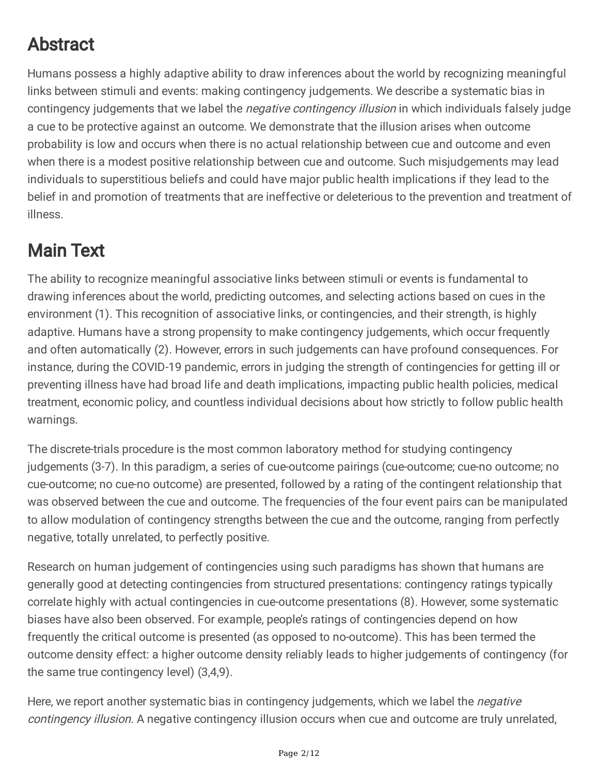# Abstract

Humans possess a highly adaptive ability to draw inferences about the world by recognizing meaningful links between stimuli and events: making contingency judgements. We describe a systematic bias in contingency judgements that we label the *negative contingency illusion* in which individuals falsely judge a cue to be protective against an outcome. We demonstrate that the illusion arises when outcome probability is low and occurs when there is no actual relationship between cue and outcome and even when there is a modest positive relationship between cue and outcome. Such misjudgements may lead individuals to superstitious beliefs and could have major public health implications if they lead to the belief in and promotion of treatments that are ineffective or deleterious to the prevention and treatment of illness.

### Main Text

The ability to recognize meaningful associative links between stimuli or events is fundamental to drawing inferences about the world, predicting outcomes, and selecting actions based on cues in the environment (1). This recognition of associative links, or contingencies, and their strength, is highly adaptive. Humans have a strong propensity to make contingency judgements, which occur frequently and often automatically (2). However, errors in such judgements can have profound consequences. For instance, during the COVID-19 pandemic, errors in judging the strength of contingencies for getting ill or preventing illness have had broad life and death implications, impacting public health policies, medical treatment, economic policy, and countless individual decisions about how strictly to follow public health warnings.

The discrete-trials procedure is the most common laboratory method for studying contingency judgements (3-7). In this paradigm, a series of cue-outcome pairings (cue-outcome; cue-no outcome; no cue-outcome; no cue-no outcome) are presented, followed by a rating of the contingent relationship that was observed between the cue and outcome. The frequencies of the four event pairs can be manipulated to allow modulation of contingency strengths between the cue and the outcome, ranging from perfectly negative, totally unrelated, to perfectly positive.

Research on human judgement of contingencies using such paradigms has shown that humans are generally good at detecting contingencies from structured presentations: contingency ratings typically correlate highly with actual contingencies in cue-outcome presentations (8). However, some systematic biases have also been observed. For example, people's ratings of contingencies depend on how frequently the critical outcome is presented (as opposed to no-outcome). This has been termed the outcome density effect: a higher outcome density reliably leads to higher judgements of contingency (for the same true contingency level) (3,4,9).

Here, we report another systematic bias in contingency judgements, which we label the *negative* contingency illusion. A negative contingency illusion occurs when cue and outcome are truly unrelated,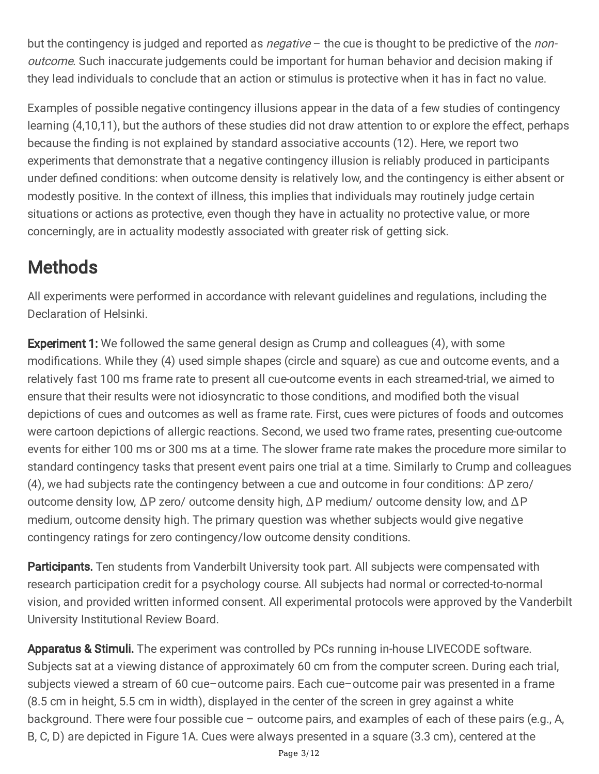but the contingency is judged and reported as *negative*  $-$  the cue is thought to be predictive of the *non*outcome. Such inaccurate judgements could be important for human behavior and decision making if they lead individuals to conclude that an action or stimulus is protective when it has in fact no value.

Examples of possible negative contingency illusions appear in the data of a few studies of contingency learning (4,10,11), but the authors of these studies did not draw attention to or explore the effect, perhaps because the finding is not explained by standard associative accounts (12). Here, we report two experiments that demonstrate that a negative contingency illusion is reliably produced in participants under defined conditions: when outcome density is relatively low, and the contingency is either absent or modestly positive. In the context of illness, this implies that individuals may routinely judge certain situations or actions as protective, even though they have in actuality no protective value, or more concerningly, are in actuality modestly associated with greater risk of getting sick.

## **Methods**

All experiments were performed in accordance with relevant guidelines and regulations, including the Declaration of Helsinki.

**Experiment 1:** We followed the same general design as Crump and colleagues (4), with some modifications. While they (4) used simple shapes (circle and square) as cue and outcome events, and a relatively fast 100 ms frame rate to present all cue-outcome events in each streamed-trial, we aimed to ensure that their results were not idiosyncratic to those conditions, and modified both the visual depictions of cues and outcomes as well as frame rate. First, cues were pictures of foods and outcomes were cartoon depictions of allergic reactions. Second, we used two frame rates, presenting cue-outcome events for either 100 ms or 300 ms at a time. The slower frame rate makes the procedure more similar to standard contingency tasks that present event pairs one trial at a time. Similarly to Crump and colleagues (4), we had subjects rate the contingency between a cue and outcome in four conditions: ∆P zero/ outcome density low, ∆P zero/ outcome density high, ∆P medium/ outcome density low, and ∆P medium, outcome density high. The primary question was whether subjects would give negative contingency ratings for zero contingency/low outcome density conditions.

Participants. Ten students from Vanderbilt University took part. All subjects were compensated with research participation credit for a psychology course. All subjects had normal or corrected-to-normal vision, and provided written informed consent. All experimental protocols were approved by the Vanderbilt University Institutional Review Board.

Apparatus & Stimuli. The experiment was controlled by PCs running in-house LIVECODE software. Subjects sat at a viewing distance of approximately 60 cm from the computer screen. During each trial, subjects viewed a stream of 60 cue–outcome pairs. Each cue–outcome pair was presented in a frame (8.5 cm in height, 5.5 cm in width), displayed in the center of the screen in grey against a white background. There were four possible cue – outcome pairs, and examples of each of these pairs (e.g., A, B, C, D) are depicted in Figure 1A. Cues were always presented in a square (3.3 cm), centered at the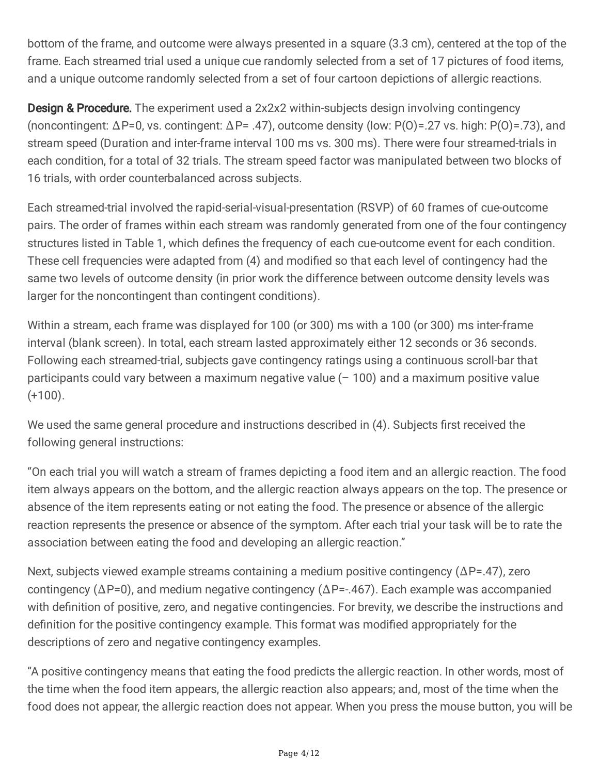bottom of the frame, and outcome were always presented in a square (3.3 cm), centered at the top of the frame. Each streamed trial used a unique cue randomly selected from a set of 17 pictures of food items, and a unique outcome randomly selected from a set of four cartoon depictions of allergic reactions.

**Design & Procedure.** The experiment used a 2x2x2 within-subjects design involving contingency (noncontingent: ∆P=0, vs. contingent: ∆P= .47), outcome density (low: P(O)=.27 vs. high: P(O)=.73), and stream speed (Duration and inter-frame interval 100 ms vs. 300 ms). There were four streamed-trials in each condition, for a total of 32 trials. The stream speed factor was manipulated between two blocks of 16 trials, with order counterbalanced across subjects.

Each streamed-trial involved the rapid-serial-visual-presentation (RSVP) of 60 frames of cue-outcome pairs. The order of frames within each stream was randomly generated from one of the four contingency structures listed in Table 1, which defines the frequency of each cue-outcome event for each condition. These cell frequencies were adapted from (4) and modified so that each level of contingency had the same two levels of outcome density (in prior work the difference between outcome density levels was larger for the noncontingent than contingent conditions).

Within a stream, each frame was displayed for 100 (or 300) ms with a 100 (or 300) ms inter-frame interval (blank screen). In total, each stream lasted approximately either 12 seconds or 36 seconds. Following each streamed-trial, subjects gave contingency ratings using a continuous scroll-bar that participants could vary between a maximum negative value  $(-100)$  and a maximum positive value  $(+100)$ .

We used the same general procedure and instructions described in (4). Subjects first received the following general instructions:

"On each trial you will watch a stream of frames depicting a food item and an allergic reaction. The food item always appears on the bottom, and the allergic reaction always appears on the top. The presence or absence of the item represents eating or not eating the food. The presence or absence of the allergic reaction represents the presence or absence of the symptom. After each trial your task will be to rate the association between eating the food and developing an allergic reaction."

Next, subjects viewed example streams containing a medium positive contingency (ΔP=.47), zero contingency (∆P=0), and medium negative contingency (∆P=-.467). Each example was accompanied with definition of positive, zero, and negative contingencies. For brevity, we describe the instructions and definition for the positive contingency example. This format was modified appropriately for the descriptions of zero and negative contingency examples.

"A positive contingency means that eating the food predicts the allergic reaction. In other words, most of the time when the food item appears, the allergic reaction also appears; and, most of the time when the food does not appear, the allergic reaction does not appear. When you press the mouse button, you will be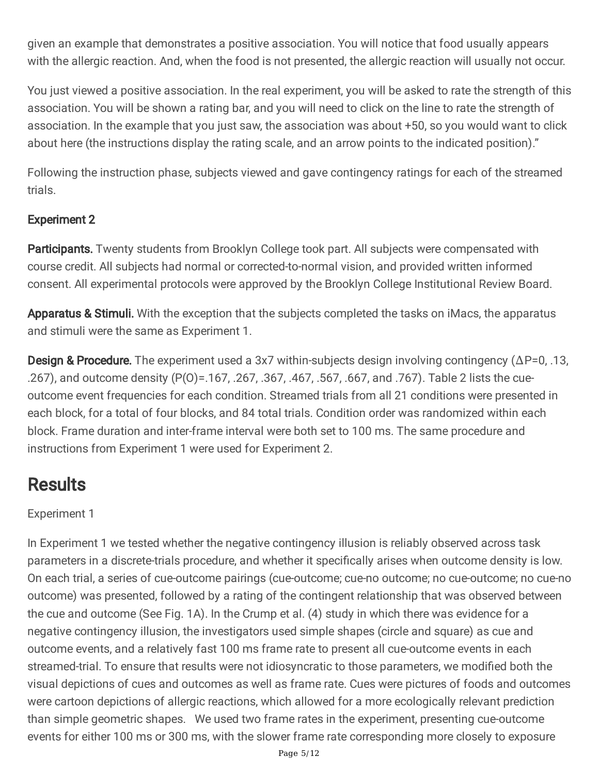given an example that demonstrates a positive association. You will notice that food usually appears with the allergic reaction. And, when the food is not presented, the allergic reaction will usually not occur.

You just viewed a positive association. In the real experiment, you will be asked to rate the strength of this association. You will be shown a rating bar, and you will need to click on the line to rate the strength of association. In the example that you just saw, the association was about +50, so you would want to click about here (the instructions display the rating scale, and an arrow points to the indicated position)."

Following the instruction phase, subjects viewed and gave contingency ratings for each of the streamed trials.

#### Experiment 2

Participants. Twenty students from Brooklyn College took part. All subjects were compensated with course credit. All subjects had normal or corrected-to-normal vision, and provided written informed consent. All experimental protocols were approved by the Brooklyn College Institutional Review Board.

Apparatus & Stimuli. With the exception that the subjects completed the tasks on iMacs, the apparatus and stimuli were the same as Experiment 1.

**Design & Procedure.** The experiment used a 3x7 within-subjects design involving contingency ( $\Delta P=0, .13,$ .267), and outcome density (P(O)=.167, .267, .367, .467, .567, .667, and .767). Table 2 lists the cueoutcome event frequencies for each condition. Streamed trials from all 21 conditions were presented in each block, for a total of four blocks, and 84 total trials. Condition order was randomized within each block. Frame duration and inter-frame interval were both set to 100 ms. The same procedure and instructions from Experiment 1 were used for Experiment 2.

### **Results**

#### Experiment 1

In Experiment 1 we tested whether the negative contingency illusion is reliably observed across task parameters in a discrete-trials procedure, and whether it specifically arises when outcome density is low. On each trial, a series of cue-outcome pairings (cue-outcome; cue-no outcome; no cue-outcome; no cue-no outcome) was presented, followed by a rating of the contingent relationship that was observed between the cue and outcome (See Fig. 1A). In the Crump et al. (4) study in which there was evidence for a negative contingency illusion, the investigators used simple shapes (circle and square) as cue and outcome events, and a relatively fast 100 ms frame rate to present all cue-outcome events in each streamed-trial. To ensure that results were not idiosyncratic to those parameters, we modified both the visual depictions of cues and outcomes as well as frame rate. Cues were pictures of foods and outcomes were cartoon depictions of allergic reactions, which allowed for a more ecologically relevant prediction than simple geometric shapes. We used two frame rates in the experiment, presenting cue-outcome events for either 100 ms or 300 ms, with the slower frame rate corresponding more closely to exposure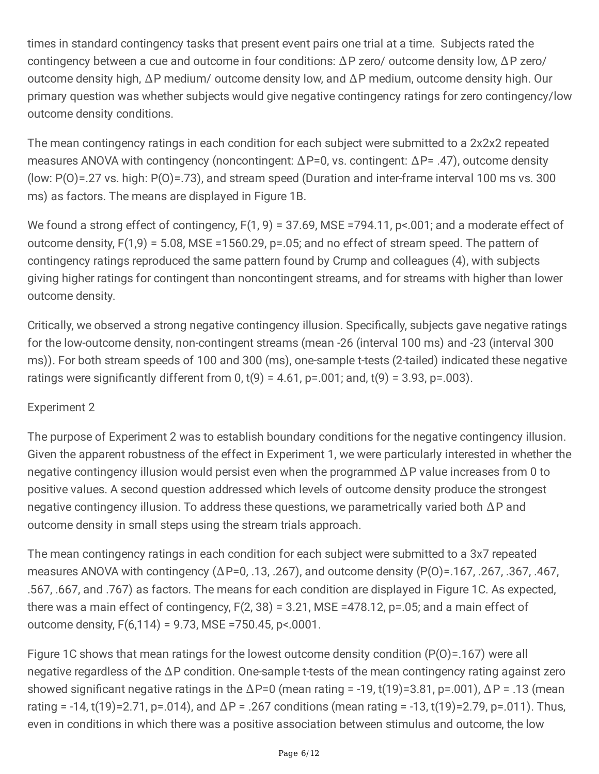times in standard contingency tasks that present event pairs one trial at a time. Subjects rated the contingency between a cue and outcome in four conditions: ∆P zero/ outcome density low, ∆P zero/ outcome density high, ∆P medium/ outcome density low, and ∆P medium, outcome density high. Our primary question was whether subjects would give negative contingency ratings for zero contingency/low outcome density conditions.

The mean contingency ratings in each condition for each subject were submitted to a 2x2x2 repeated measures ANOVA with contingency (noncontingent: ∆P=0, vs. contingent: ∆P= .47), outcome density (low: P(O)=.27 vs. high: P(O)=.73), and stream speed (Duration and inter-frame interval 100 ms vs. 300 ms) as factors. The means are displayed in Figure 1B.

We found a strong effect of contingency,  $F(1, 9) = 37.69$ , MSE =794.11, p<.001; and a moderate effect of outcome density, F(1,9) = 5.08, MSE =1560.29, p=.05; and no effect of stream speed. The pattern of contingency ratings reproduced the same pattern found by Crump and colleagues (4), with subjects giving higher ratings for contingent than noncontingent streams, and for streams with higher than lower outcome density.

Critically, we observed a strong negative contingency illusion. Specifically, subjects gave negative ratings for the low-outcome density, non-contingent streams (mean -26 (interval 100 ms) and -23 (interval 300 ms)). For both stream speeds of 100 and 300 (ms), one-sample t-tests (2-tailed) indicated these negative ratings were significantly different from 0,  $t(9) = 4.61$ ,  $p = .001$ ; and,  $t(9) = 3.93$ ,  $p = .003$ ).

#### Experiment 2

The purpose of Experiment 2 was to establish boundary conditions for the negative contingency illusion. Given the apparent robustness of the effect in Experiment 1, we were particularly interested in whether the negative contingency illusion would persist even when the programmed ∆P value increases from 0 to positive values. A second question addressed which levels of outcome density produce the strongest negative contingency illusion. To address these questions, we parametrically varied both ∆P and outcome density in small steps using the stream trials approach.

The mean contingency ratings in each condition for each subject were submitted to a 3x7 repeated measures ANOVA with contingency (∆P=0, .13, .267), and outcome density (P(O)=.167, .267, .367, .467, .567, .667, and .767) as factors. The means for each condition are displayed in Figure 1C. As expected, there was a main effect of contingency, F(2, 38) = 3.21, MSE =478.12, p=.05; and a main effect of outcome density,  $F(6,114) = 9.73$ , MSE = 750.45, p<.0001.

Figure 1C shows that mean ratings for the lowest outcome density condition (P(O)=.167) were all negative regardless of the ∆P condition. One-sample t-tests of the mean contingency rating against zero showed significant negative ratings in the  $\Delta P=0$  (mean rating = -19, t(19)=3.81, p=.001),  $\Delta P = .13$  (mean rating = -14, t(19)=2.71, p=.014), and  $\Delta P$  = .267 conditions (mean rating = -13, t(19)=2.79, p=.011). Thus, even in conditions in which there was a positive association between stimulus and outcome, the low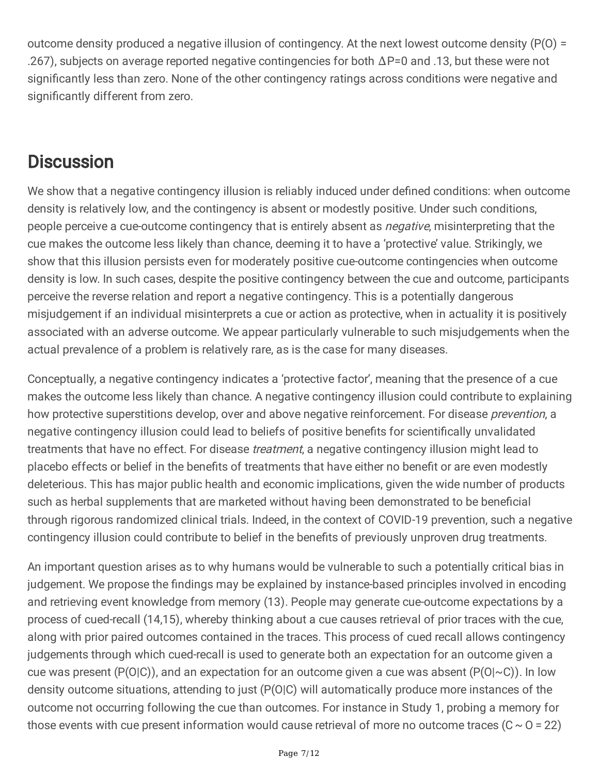outcome density produced a negative illusion of contingency. At the next lowest outcome density (P(O) = .267), subjects on average reported negative contingencies for both ∆P=0 and .13, but these were not significantly less than zero. None of the other contingency ratings across conditions were negative and significantly different from zero.

### **Discussion**

We show that a negative contingency illusion is reliably induced under defined conditions: when outcome density is relatively low, and the contingency is absent or modestly positive. Under such conditions, people perceive a cue-outcome contingency that is entirely absent as *negative*, misinterpreting that the cue makes the outcome less likely than chance, deeming it to have a 'protective' value. Strikingly, we show that this illusion persists even for moderately positive cue-outcome contingencies when outcome density is low. In such cases, despite the positive contingency between the cue and outcome, participants perceive the reverse relation and report a negative contingency. This is a potentially dangerous misjudgement if an individual misinterprets a cue or action as protective, when in actuality it is positively associated with an adverse outcome. We appear particularly vulnerable to such misjudgements when the actual prevalence of a problem is relatively rare, as is the case for many diseases.

Conceptually, a negative contingency indicates a 'protective factor', meaning that the presence of a cue makes the outcome less likely than chance. A negative contingency illusion could contribute to explaining how protective superstitions develop, over and above negative reinforcement. For disease *prevention*, a negative contingency illusion could lead to beliefs of positive benefits for scientifically unvalidated treatments that have no effect. For disease *treatment*, a negative contingency illusion might lead to placebo effects or belief in the benefits of treatments that have either no benefit or are even modestly deleterious. This has major public health and economic implications, given the wide number of products such as herbal supplements that are marketed without having been demonstrated to be beneficial through rigorous randomized clinical trials. Indeed, in the context of COVID-19 prevention, such a negative contingency illusion could contribute to belief in the benefits of previously unproven drug treatments.

An important question arises as to why humans would be vulnerable to such a potentially critical bias in judgement. We propose the findings may be explained by instance-based principles involved in encoding and retrieving event knowledge from memory (13). People may generate cue-outcome expectations by a process of cued-recall (14,15), whereby thinking about a cue causes retrieval of prior traces with the cue, along with prior paired outcomes contained in the traces. This process of cued recall allows contingency judgements through which cued-recall is used to generate both an expectation for an outcome given a cue was present ( $P(O|C)$ ), and an expectation for an outcome given a cue was absent ( $P(O|\sim C)$ ). In low density outcome situations, attending to just (P(O|C) will automatically produce more instances of the outcome not occurring following the cue than outcomes. For instance in Study 1, probing a memory for those events with cue present information would cause retrieval of more no outcome traces  $(C \sim 0 = 22)$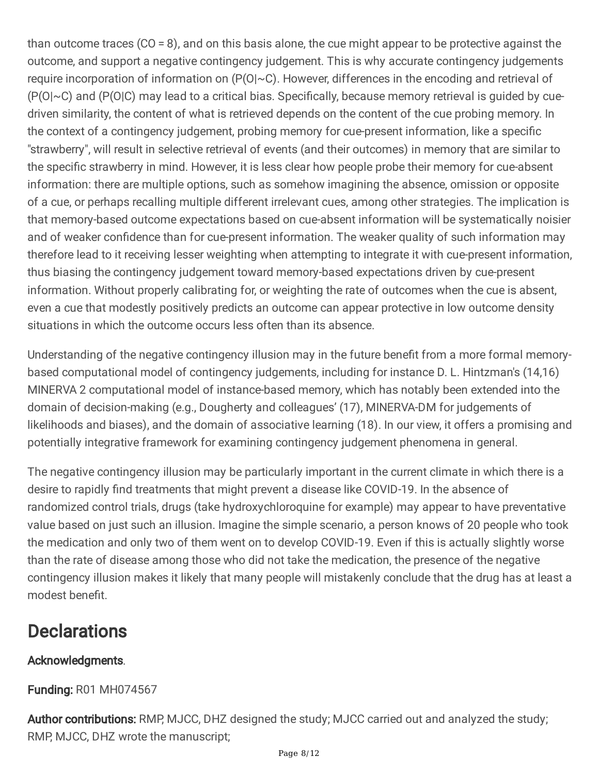than outcome traces (CO = 8), and on this basis alone, the cue might appear to be protective against the outcome, and support a negative contingency judgement. This is why accurate contingency judgements require incorporation of information on (P(O|~C). However, differences in the encoding and retrieval of  $(P(O|< C)$  and  $(P(O|C)$  may lead to a critical bias. Specifically, because memory retrieval is guided by cuedriven similarity, the content of what is retrieved depends on the content of the cue probing memory. In the context of a contingency judgement, probing memory for cue-present information, like a specific "strawberry", will result in selective retrieval of events (and their outcomes) in memory that are similar to the specific strawberry in mind. However, it is less clear how people probe their memory for cue-absent information: there are multiple options, such as somehow imagining the absence, omission or opposite of a cue, or perhaps recalling multiple different irrelevant cues, among other strategies. The implication is that memory-based outcome expectations based on cue-absent information will be systematically noisier and of weaker confidence than for cue-present information. The weaker quality of such information may therefore lead to it receiving lesser weighting when attempting to integrate it with cue-present information, thus biasing the contingency judgement toward memory-based expectations driven by cue-present information. Without properly calibrating for, or weighting the rate of outcomes when the cue is absent, even a cue that modestly positively predicts an outcome can appear protective in low outcome density situations in which the outcome occurs less often than its absence.

Understanding of the negative contingency illusion may in the future benefit from a more formal memorybased computational model of contingency judgements, including for instance D. L. Hintzman's (14,16) MINERVA 2 computational model of instance-based memory, which has notably been extended into the domain of decision-making (e.g., Dougherty and colleagues' (17), MINERVA-DM for judgements of likelihoods and biases), and the domain of associative learning (18). In our view, it offers a promising and potentially integrative framework for examining contingency judgement phenomena in general.

The negative contingency illusion may be particularly important in the current climate in which there is a desire to rapidly find treatments that might prevent a disease like COVID-19. In the absence of randomized control trials, drugs (take hydroxychloroquine for example) may appear to have preventative value based on just such an illusion. Imagine the simple scenario, a person knows of 20 people who took the medication and only two of them went on to develop COVID-19. Even if this is actually slightly worse than the rate of disease among those who did not take the medication, the presence of the negative contingency illusion makes it likely that many people will mistakenly conclude that the drug has at least a modest benefit.

### **Declarations**

#### Acknowledgments.

#### Funding: R01 MH074567

Author contributions: RMP, MJCC, DHZ designed the study; MJCC carried out and analyzed the study; RMP, MJCC, DHZ wrote the manuscript;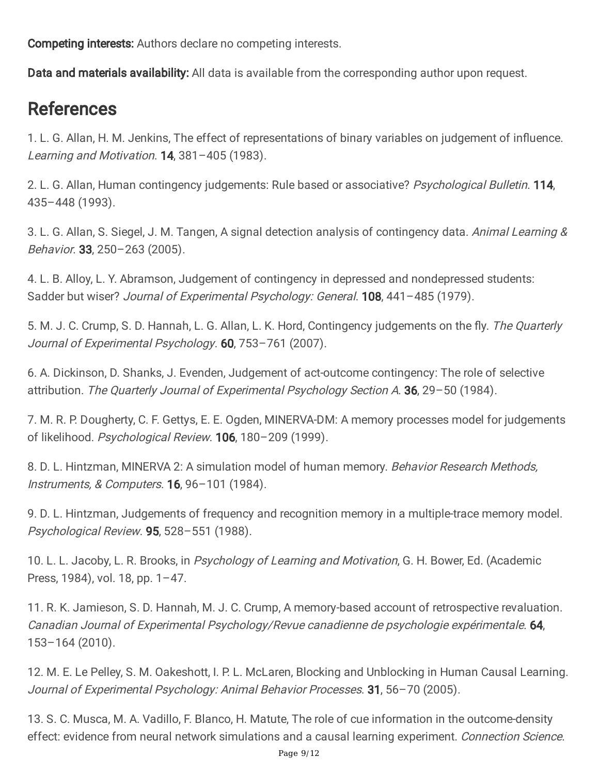Competing interests: Authors declare no competing interests.

Data and materials availability: All data is available from the corresponding author upon request.

### References

1. L. G. Allan, H. M. Jenkins, The effect of representations of binary variables on judgement of influence. Learning and Motivation. **14**, 381-405 (1983).

2. L. G. Allan, Human contingency judgements: Rule based or associative? Psychological Bulletin. 114, 435–448 (1993).

3. L. G. Allan, S. Siegel, J. M. Tangen, A signal detection analysis of contingency data. Animal Learning & Behavior. 33, 250–263 (2005).

4. L. B. Alloy, L. Y. Abramson, Judgement of contingency in depressed and nondepressed students: Sadder but wiser? Journal of Experimental Psychology: General. **108**, 441-485 (1979).

5. M. J. C. Crump, S. D. Hannah, L. G. Allan, L. K. Hord, Contingency judgements on the fly. The Quarterly Journal of Experimental Psychology. 60, 753-761 (2007).

6. A. Dickinson, D. Shanks, J. Evenden, Judgement of act-outcome contingency: The role of selective attribution. The Quarterly Journal of Experimental Psychology Section A. 36, 29-50 (1984).

7. M. R. P. Dougherty, C. F. Gettys, E. E. Ogden, MINERVA-DM: A memory processes model for judgements of likelihood. Psychological Review. 106, 180–209 (1999).

8. D. L. Hintzman, MINERVA 2: A simulation model of human memory. Behavior Research Methods, Instruments, & Computers. 16, 96–101 (1984).

9. D. L. Hintzman, Judgements of frequency and recognition memory in a multiple-trace memory model. Psychological Review. 95, 528–551 (1988).

10. L. L. Jacoby, L. R. Brooks, in Psychology of Learning and Motivation, G. H. Bower, Ed. (Academic Press, 1984), vol. 18, pp. 1–47.

11. R. K. Jamieson, S. D. Hannah, M. J. C. Crump, A memory-based account of retrospective revaluation. Canadian Journal of Experimental Psychology/Revue canadienne de psychologie expérimentale. 64, 153–164 (2010).

12. M. E. Le Pelley, S. M. Oakeshott, I. P. L. McLaren, Blocking and Unblocking in Human Causal Learning. Journal of Experimental Psychology: Animal Behavior Processes. 31, 56-70 (2005).

13. S. C. Musca, M. A. Vadillo, F. Blanco, H. Matute, The role of cue information in the outcome-density effect: evidence from neural network simulations and a causal learning experiment. Connection Science.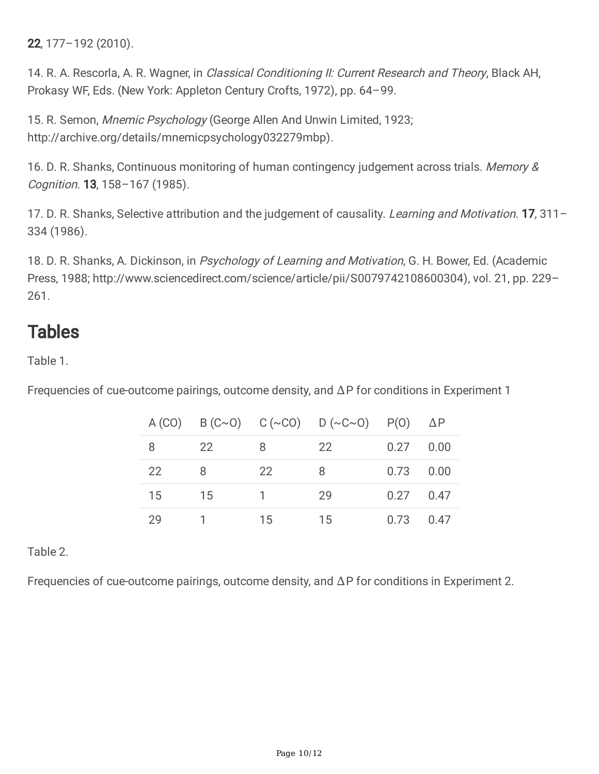22, 177–192 (2010).

14. R. A. Rescorla, A. R. Wagner, in *Classical Conditioning II: Current Research and Theory*, Black AH, Prokasy WF, Eds. (New York: Appleton Century Crofts, 1972), pp. 64–99.

15. R. Semon, Mnemic Psychology (George Allen And Unwin Limited, 1923; http://archive.org/details/mnemicpsychology032279mbp).

16. D. R. Shanks, Continuous monitoring of human contingency judgement across trials. Memory & Cognition. 13, 158–167 (1985).

17. D. R. Shanks, Selective attribution and the judgement of causality. Learning and Motivation. 17, 311-334 (1986).

18. D. R. Shanks, A. Dickinson, in Psychology of Learning and Motivation, G. H. Bower, Ed. (Academic Press, 1988; http://www.sciencedirect.com/science/article/pii/S0079742108600304), vol. 21, pp. 229– 261.

### **Tables**

Table 1.

Frequencies of cue-outcome pairings, outcome density, and ∆P for conditions in Experiment 1

|    |      |                | A (CO) B (C~O) C (~CO) D (~C~O) P(O) $\Delta P$ |             |      |
|----|------|----------------|-------------------------------------------------|-------------|------|
| 8  | -22  | -8             | -22-                                            | $0.27$ 0.00 |      |
| 22 | - 8  | 22             | 8                                               | $0.73$ 0.00 |      |
| 15 | - 15 | $\overline{1}$ | 29                                              | $0.27$ 0.47 |      |
| 29 |      | 15             | 15                                              | 0.73        | 0.47 |

#### Table 2.

Frequencies of cue-outcome pairings, outcome density, and ∆P for conditions in Experiment 2.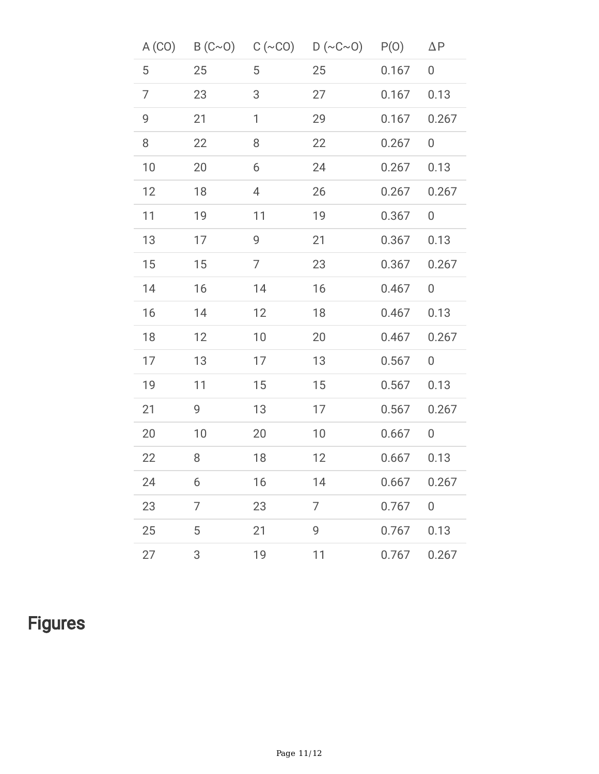|    |    |    | A (CO) B (C~O) C (~CO) D (~C~O) P(O) |       | $\Delta P$     |
|----|----|----|--------------------------------------|-------|----------------|
| 5  | 25 | 5  | 25                                   | 0.167 | 0              |
| 7  | 23 | 3  | 27                                   | 0.167 | 0.13           |
| 9  | 21 | 1  | 29                                   | 0.167 | 0.267          |
| 8  | 22 | 8  | 22                                   | 0.267 | 0              |
| 10 | 20 | 6  | 24                                   | 0.267 | 0.13           |
| 12 | 18 | 4  | 26                                   | 0.267 | 0.267          |
| 11 | 19 | 11 | 19                                   | 0.367 | 0              |
| 13 | 17 | 9  | 21                                   | 0.367 | 0.13           |
| 15 | 15 | 7  | 23                                   | 0.367 | 0.267          |
| 14 | 16 | 14 | 16                                   | 0.467 | 0              |
| 16 | 14 | 12 | 18                                   | 0.467 | 0.13           |
| 18 | 12 | 10 | 20                                   | 0.467 | 0.267          |
| 17 | 13 | 17 | 13                                   | 0.567 | 0              |
| 19 | 11 | 15 | 15                                   | 0.567 | 0.13           |
| 21 | 9  | 13 | 17                                   | 0.567 | 0.267          |
| 20 | 10 | 20 | 10                                   | 0.667 | 0              |
| 22 | 8  | 18 | 12                                   | 0.667 | 0.13           |
| 24 | 6  | 16 | 14                                   | 0.667 | 0.267          |
| 23 | 7  | 23 | 7                                    | 0.767 | $\overline{0}$ |
| 25 | 5  | 21 | 9                                    | 0.767 | 0.13           |
| 27 | 3  | 19 | 11                                   | 0.767 | 0.267          |

## **Figures**